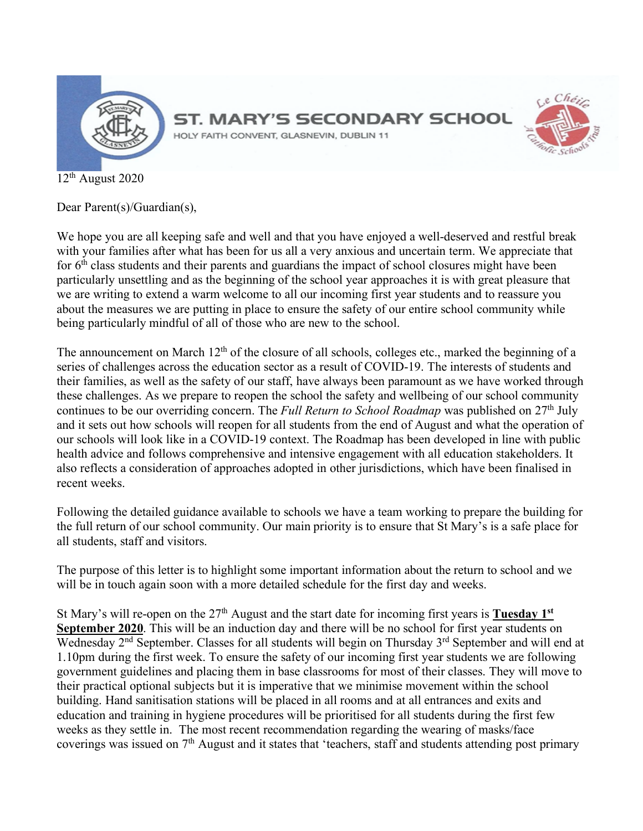

 $12<sup>th</sup>$  August 2020

Dear Parent(s)/Guardian(s),

We hope you are all keeping safe and well and that you have enjoyed a well-deserved and restful break with your families after what has been for us all a very anxious and uncertain term. We appreciate that for 6<sup>th</sup> class students and their parents and guardians the impact of school closures might have been particularly unsettling and as the beginning of the school year approaches it is with great pleasure that we are writing to extend a warm welcome to all our incoming first year students and to reassure you about the measures we are putting in place to ensure the safety of our entire school community while being particularly mindful of all of those who are new to the school.

The announcement on March 12<sup>th</sup> of the closure of all schools, colleges etc., marked the beginning of a series of challenges across the education sector as a result of COVID-19. The interests of students and their families, as well as the safety of our staff, have always been paramount as we have worked through these challenges. As we prepare to reopen the school the safety and wellbeing of our school community continues to be our overriding concern. The *Full Return to School Roadmap* was published on 27<sup>th</sup> July and it sets out how schools will reopen for all students from the end of August and what the operation of our schools will look like in a COVID-19 context. The Roadmap has been developed in line with public health advice and follows comprehensive and intensive engagement with all education stakeholders. It also reflects a consideration of approaches adopted in other jurisdictions, which have been finalised in recent weeks.

Following the detailed guidance available to schools we have a team working to prepare the building for the full return of our school community. Our main priority is to ensure that St Mary's is a safe place for all students, staff and visitors.

The purpose of this letter is to highlight some important information about the return to school and we will be in touch again soon with a more detailed schedule for the first day and weeks.

St Mary's will re-open on the 27<sup>th</sup> August and the start date for incoming first years is **Tuesday 1**<sup>st</sup> **September 2020**. This will be an induction day and there will be no school for first year students on Wednesday 2<sup>nd</sup> September. Classes for all students will begin on Thursday 3<sup>rd</sup> September and will end at 1.10pm during the first week. To ensure the safety of our incoming first year students we are following government guidelines and placing them in base classrooms for most of their classes. They will move to their practical optional subjects but it is imperative that we minimise movement within the school building. Hand sanitisation stations will be placed in all rooms and at all entrances and exits and education and training in hygiene procedures will be prioritised for all students during the first few weeks as they settle in. The most recent recommendation regarding the wearing of masks/face coverings was issued on 7th August and it states that 'teachers, staff and students attending post primary